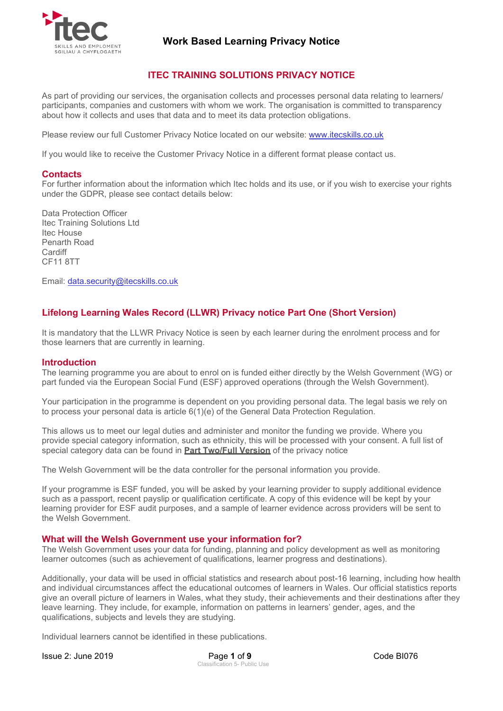

## **ITEC TRAINING SOLUTIONS PRIVACY NOTICE**

As part of providing our services, the organisation collects and processes personal data relating to learners/ participants, companies and customers with whom we work. The organisation is committed to transparency about how it collects and uses that data and to meet its data protection obligations.

Please review our full Customer Privacy Notice located on our website: [www.itecskills.co.uk](http://www.itecskills.co.uk/)

If you would like to receive the Customer Privacy Notice in a different format please contact us.

#### **Contacts**

For further information about the information which Itec holds and its use, or if you wish to exercise your rights under the GDPR, please see contact details below:

Data Protection Officer Itec Training Solutions Ltd Itec House Penarth Road **Cardiff** CF11 8TT

Email: [data.security@itecskills.co.uk](mailto:data.security@itecskills.co.uk)

## **Lifelong Learning Wales Record (LLWR) Privacy notice Part One (Short Version)**

It is mandatory that the LLWR Privacy Notice is seen by each learner during the enrolment process and for those learners that are currently in learning.

#### **Introduction**

The learning programme you are about to enrol on is funded either directly by the Welsh Government (WG) or part funded via the European Social Fund (ESF) approved operations (through the Welsh Government).

Your participation in the programme is dependent on you providing personal data. The legal basis we rely on to process your personal data is article 6(1)(e) of the General Data Protection Regulation.

This allows us to meet our legal duties and administer and monitor the funding we provide. Where you provide special category information, such as ethnicity, this will be processed with your consent. A full list of special category data can be found in **[Part Two/Full Version](#page-3-0)** of the privacy notice

The Welsh Government will be the data controller for the personal information you provide.

If your programme is ESF funded, you will be asked by your learning provider to supply additional evidence such as a passport, recent payslip or qualification certificate. A copy of this evidence will be kept by your learning provider for ESF audit purposes, and a sample of learner evidence across providers will be sent to the Welsh Government.

### **What will the Welsh Government use your information for?**

The Welsh Government uses your data for funding, planning and policy development as well as monitoring learner outcomes (such as achievement of qualifications, learner progress and destinations).

Additionally, your data will be used in official statistics and research about post-16 learning, including how health and individual circumstances affect the educational outcomes of learners in Wales. Our official statistics reports give an overall picture of learners in Wales, what they study, their achievements and their destinations after they leave learning. They include, for example, information on patterns in learners' gender, ages, and the qualifications, subjects and levels they are studying.

Individual learners cannot be identified in these publications.

Issue 2: June 2019 Page **1** of **9** Code BI076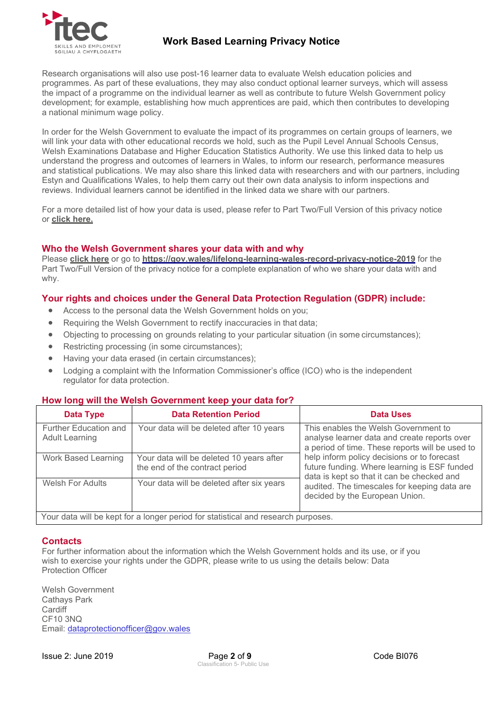

Research organisations will also use post-16 learner data to evaluate Welsh education policies and programmes. As part of these evaluations, they may also conduct optional learner surveys, which will assess the impact of a programme on the individual learner as well as contribute to future Welsh Government policy development; for example, establishing how much apprentices are paid, which then contributes to developing a national minimum wage policy.

In order for the Welsh Government to evaluate the impact of its programmes on certain groups of learners, we will link your data with other educational records we hold, such as the Pupil Level Annual Schools Census, Welsh Examinations Database and Higher Education Statistics Authority. We use this linked data to help us understand the progress and outcomes of learners in Wales, to inform our research, performance measures and statistical publications. We may also share this linked data with researchers and with our partners, including Estyn and Qualifications Wales, to help them carry out their own data analysis to inform inspections and reviews. Individual learners cannot be identified in the linked data we share with our partners.

For a more detailed list of how your data is used, please refer to Part Two/Full Version of this privacy notice or **[click here.](#page-3-0)**

## **Who the Welsh Government shares your data with and why**

Please **click here** or go to **<https://gov.wales/lifelong-learning-wales-record-privacy-notice-2019>** for the Part Two/Full Version of the privacy notice for a complete explanation of who we share your data with and why.

## **Your rights and choices under the General Data Protection Regulation (GDPR) include:**

- Access to the personal data the Welsh Government holds on you;
- Requiring the Welsh Government to rectify inaccuracies in that data;
- Objecting to processing on grounds relating to your particular situation (in some circumstances);
- Restricting processing (in some circumstances);
- Having your data erased (in certain circumstances);
- Lodging a complaint with the Information Commissioner's office (ICO) who is the independent regulator for data protection.

### **How long will the Welsh Government keep your data for?**

| Data Type                                                                         | <b>Data Retention Period</b>                                               | Data Uses                                                                                                                                                                                                                                                                            |  |  |
|-----------------------------------------------------------------------------------|----------------------------------------------------------------------------|--------------------------------------------------------------------------------------------------------------------------------------------------------------------------------------------------------------------------------------------------------------------------------------|--|--|
| Further Education and<br><b>Adult Learning</b>                                    | Your data will be deleted after 10 years                                   | This enables the Welsh Government to<br>analyse learner data and create reports over<br>a period of time. These reports will be used to<br>help inform policy decisions or to forecast<br>future funding. Where learning is ESF funded<br>data is kept so that it can be checked and |  |  |
| Work Based Learning                                                               | Your data will be deleted 10 years after<br>the end of the contract period |                                                                                                                                                                                                                                                                                      |  |  |
| <b>Welsh For Adults</b>                                                           | Your data will be deleted after six years                                  | audited. The timescales for keeping data are<br>decided by the European Union.                                                                                                                                                                                                       |  |  |
| Your data will be kept for a longer period for statistical and research purposes. |                                                                            |                                                                                                                                                                                                                                                                                      |  |  |

### **Contacts**

For further information about the information which the Welsh Government holds and its use, or if you wish to exercise your rights under the GDPR, please write to us using the details below: Data Protection Officer

Welsh Government Cathays Park Cardiff CF10 3NQ Email: [dataprotectionofficer@gov.wales](mailto:dataprotectionofficer@gov.wales)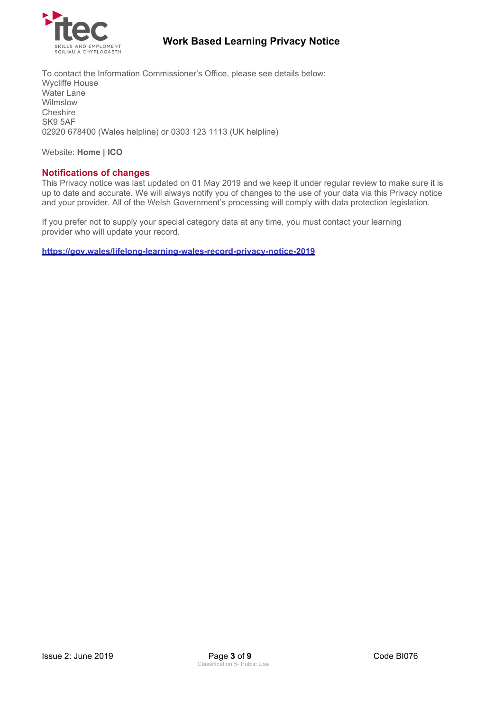

To contact the Information Commissioner's Office, please see details below: Wycliffe House Water Lane Wilmslow **Cheshire** SK9 5AF 02920 678400 (Wales helpline) or 0303 123 1113 (UK helpline)

Website: **[Home | ICO](https://ico.org.uk/)**

## **Notifications of changes**

This Privacy notice was last updated on 01 May 2019 and we keep it under regular review to make sure it is up to date and accurate. We will always notify you of changes to the use of your data via this Privacy notice and your provider. All of the Welsh Government's processing will comply with data protection legislation.

If you prefer not to supply your special category data at any time, you must contact your learning provider who will update your record.

**<https://gov.wales/lifelong-learning-wales-record-privacy-notice-2019>**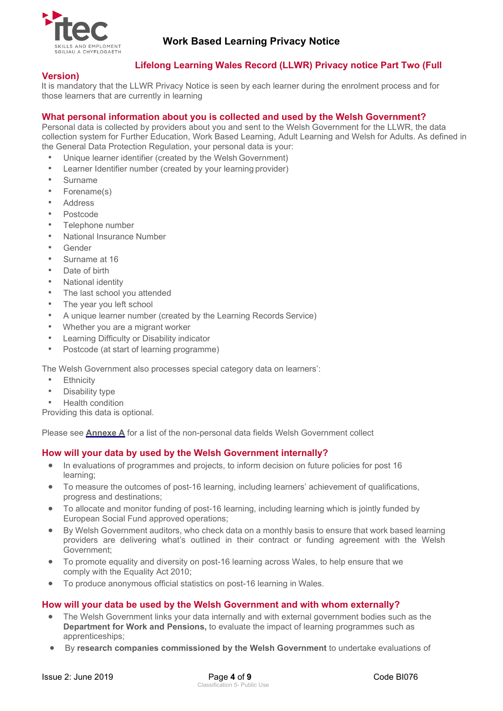

## <span id="page-3-0"></span>**Lifelong Learning Wales Record (LLWR) Privacy notice Part Two (Full**

## **Version)**

It is mandatory that the LLWR Privacy Notice is seen by each learner during the enrolment process and for those learners that are currently in learning

## **What personal information about you is collected and used by the Welsh Government?**

Personal data is collected by providers about you and sent to the Welsh Government for the LLWR, the data collection system for Further Education, Work Based Learning, Adult Learning and Welsh for Adults. As defined in the General Data Protection Regulation, your personal data is your:

- Unique learner identifier (created by the Welsh Government)
- Learner Identifier number (created by your learning provider)
- **Surname**
- Forename(s)
- **Address**
- Postcode
- Telephone number
- National Insurance Number
- Gender
- Surname at 16
- Date of birth
- National identity
- The last school you attended
- The year you left school
- A unique learner number (created by the Learning Records Service)
- Whether you are a migrant worker
- Learning Difficulty or Disability indicator
- Postcode (at start of learning programme)

The Welsh Government also processes special category data on learners':

- **Ethnicity**
- Disability type
- Health condition

Providing this data is optional.

Please see **[Annexe A](#page-6-0)** for a list of the non-personal data fields Welsh Government collect

### **How will your data by used by the Welsh Government internally?**

- In evaluations of programmes and projects, to inform decision on future policies for post 16 learning;
- To measure the outcomes of post-16 learning, including learners' achievement of qualifications, progress and destinations;
- To allocate and monitor funding of post-16 learning, including learning which is jointly funded by European Social Fund approved operations;
- By Welsh Government auditors, who check data on a monthly basis to ensure that work based learning providers are delivering what's outlined in their contract or funding agreement with the Welsh Government;
- To promote equality and diversity on post-16 learning across Wales, to help ensure that we comply with the Equality Act 2010;
- To produce anonymous official statistics on post-16 learning in Wales.

### **How will your data be used by the Welsh Government and with whom externally?**

- The Welsh Government links your data internally and with external government bodies such as the **Department for Work and Pensions,** to evaluate the impact of learning programmes such as apprenticeships;
- By **research companies commissioned by the Welsh Government** to undertake evaluations of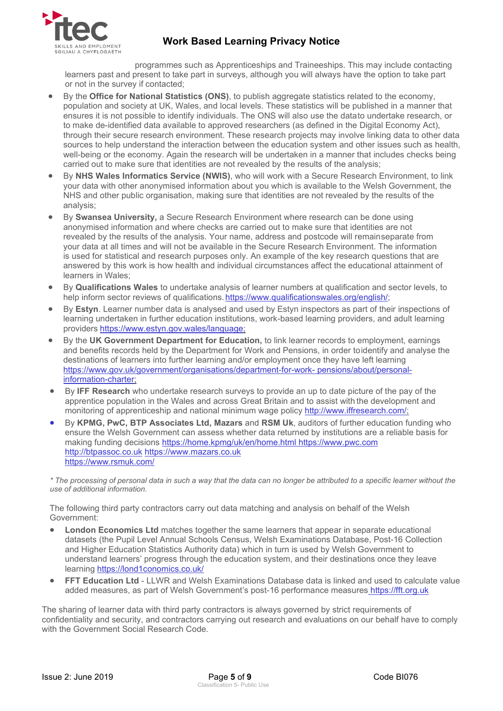

programmes such as Apprenticeships and Traineeships. This may include contacting learners past and present to take part in surveys, although you will always have the option to take part or not in the survey if contacted;

- By the **Office for National Statistics (ONS)**, to publish aggregate statistics related to the economy, population and society at UK, Wales, and local levels. These statistics will be published in a manner that ensures it is not possible to identify individuals. The ONS will also use the datato undertake research, or to make de-identified data available to approved researchers (as defined in the Digital Economy Act), through their secure research environment. These research projects may involve linking data to other data sources to help understand the interaction between the education system and other issues such as health, well-being or the economy. Again the research will be undertaken in a manner that includes checks being carried out to make sure that identities are not revealed by the results of the analysis;
- By **NHS Wales Informatics Service (NWIS)**, who will work with a Secure Research Environment, to link your data with other anonymised information about you which is available to the Welsh Government, the NHS and other public organisation, making sure that identities are not revealed by the results of the analysis;
- By **Swansea University,** a Secure Research Environment where research can be done using anonymised information and where checks are carried out to make sure that identities are not revealed by the results of the analysis. Your name, address and postcode will remainseparate from your data at all times and will not be available in the Secure Research Environment. The information is used for statistical and research purposes only. An example of the key research questions that are answered by this work is how health and individual circumstances affect the educational attainment of learners in Wales;
- By **Qualifications Wales** to undertake analysis of learner numbers at qualification and sector levels, to help inform sector reviews of qualifications. https://www.qualificationswales.org/english/;
- By **Estyn**. Learner number data is analysed and used by Estyn inspectors as part of their inspections of learning undertaken in further education institutions, work-based learning providers, and adult learning providers [https://www.estyn.gov.wales/language;](https://www.estyn.gov.wales/language)
- By the **UK Government Department for Education,** to link learner records to employment, earnings and benefits records held by the Department for Work and Pensions, in order toidentify and analyse the destinations of learners into further learning and/or employment once they have left learning https:[//www.gov.uk/government/organisations/department-for-work-](http://www.gov.uk/government/organisations/department-for-work-) pensions/about/personalinformation-charter;
- By **IFF Research** who undertake research surveys to provide an up to date picture of the pay of the apprentice population in the Wales and across Great Britain and to assist with the development and monitoring of apprenticeship and national minimum wage policy [http://www.iffresearch.com/;](http://www.iffresearch.com/)
- By **KPMG, PwC, BTP Associates Ltd, Mazars** and **RSM Uk**, auditors of further education funding who ensure the Welsh Government can assess whether data returned by institutions are a reliable basis for making funding decisions<https://home.kpmg/uk/en/home.html> [https://www.pwc.com](https://www.pwc.com/) [http://btpassoc.co.uk](http://btpassoc.co.uk/) [https://www.mazars.co.uk](https://www.mazars.co.uk/) <https://www.rsmuk.com/>

*\* The processing of personal data in such a way that the data can no longer be attributed to a specific learner without the use of additional information.*

The following third party contractors carry out data matching and analysis on behalf of the Welsh Government:

- **London Economics Ltd** matches together the same learners that appear in separate educational datasets (the Pupil Level Annual Schools Census, Welsh Examinations Database, Post-16 Collection and Higher Education Statistics Authority data) which in turn is used by Welsh Government to understand learners' progress through the education system, and their destinations once they leave learning [https://lond1conomics.co.uk/](https://londoneconomics.co.uk/)
- **FFT Education Ltd**  LLWR and Welsh Examinations Database data is linked and used to calculate value added measures, as part of Welsh Government's post-16 performance measures [https://fft.org.uk](https://fft.org.uk/)

The sharing of learner data with third party contractors is always governed by strict requirements of confidentiality and security, and contractors carrying out research and evaluations on our behalf have to comply with the Government Social Research Code.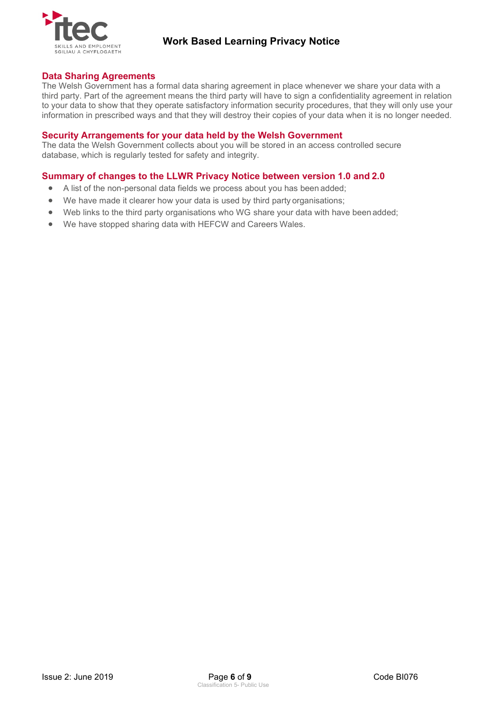

## **Data Sharing Agreements**

The Welsh Government has a formal data sharing agreement in place whenever we share your data with a third party. Part of the agreement means the third party will have to sign a confidentiality agreement in relation to your data to show that they operate satisfactory information security procedures, that they will only use your information in prescribed ways and that they will destroy their copies of your data when it is no longer needed.

## **Security Arrangements for your data held by the Welsh Government**

The data the Welsh Government collects about you will be stored in an access controlled secure database, which is regularly tested for safety and integrity.

## **Summary of changes to the LLWR Privacy Notice between version 1.0 and 2.0**

- A list of the non-personal data fields we process about you has been added;
- We have made it clearer how your data is used by third party organisations;
- Web links to the third party organisations who WG share your data with have been added;
- We have stopped sharing data with HEFCW and Careers Wales.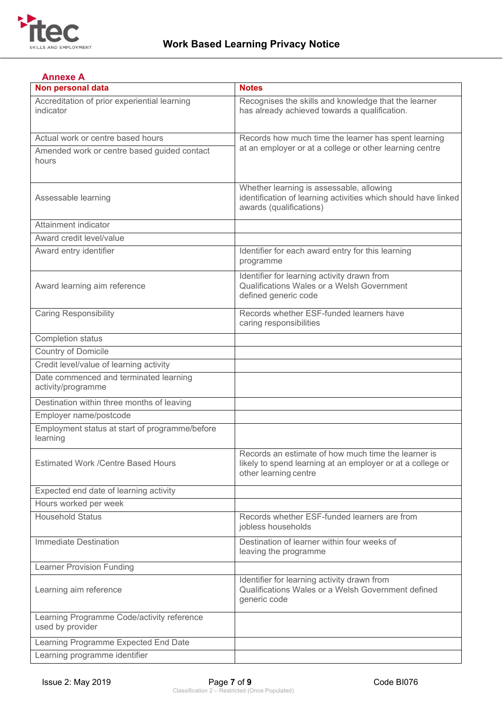

<span id="page-6-0"></span>

| <b>Annexe A</b>                                                |                                                                                                                                            |  |  |
|----------------------------------------------------------------|--------------------------------------------------------------------------------------------------------------------------------------------|--|--|
| Non personal data                                              | <b>Notes</b>                                                                                                                               |  |  |
| Accreditation of prior experiential learning<br>indicator      | Recognises the skills and knowledge that the learner<br>has already achieved towards a qualification.                                      |  |  |
| Actual work or centre based hours                              | Records how much time the learner has spent learning<br>at an employer or at a college or other learning centre                            |  |  |
| Amended work or centre based guided contact<br>hours           |                                                                                                                                            |  |  |
| Assessable learning                                            | Whether learning is assessable, allowing<br>identification of learning activities which should have linked<br>awards (qualifications)      |  |  |
| Attainment indicator                                           |                                                                                                                                            |  |  |
| Award credit level/value                                       |                                                                                                                                            |  |  |
| Award entry identifier                                         | Identifier for each award entry for this learning<br>programme                                                                             |  |  |
| Award learning aim reference                                   | Identifier for learning activity drawn from<br>Qualifications Wales or a Welsh Government<br>defined generic code                          |  |  |
| <b>Caring Responsibility</b>                                   | Records whether ESF-funded learners have<br>caring responsibilities                                                                        |  |  |
| Completion status                                              |                                                                                                                                            |  |  |
| <b>Country of Domicile</b>                                     |                                                                                                                                            |  |  |
| Credit level/value of learning activity                        |                                                                                                                                            |  |  |
| Date commenced and terminated learning<br>activity/programme   |                                                                                                                                            |  |  |
| Destination within three months of leaving                     |                                                                                                                                            |  |  |
| Employer name/postcode                                         |                                                                                                                                            |  |  |
| Employment status at start of programme/before<br>learning     |                                                                                                                                            |  |  |
| <b>Estimated Work /Centre Based Hours</b>                      | Records an estimate of how much time the learner is<br>likely to spend learning at an employer or at a college or<br>other learning centre |  |  |
| Expected end date of learning activity                         |                                                                                                                                            |  |  |
| Hours worked per week                                          |                                                                                                                                            |  |  |
| <b>Household Status</b>                                        | Records whether ESF-funded learners are from<br>jobless households                                                                         |  |  |
| <b>Immediate Destination</b>                                   | Destination of learner within four weeks of<br>leaving the programme                                                                       |  |  |
| <b>Learner Provision Funding</b>                               |                                                                                                                                            |  |  |
| Learning aim reference                                         | Identifier for learning activity drawn from<br>Qualifications Wales or a Welsh Government defined<br>generic code                          |  |  |
| Learning Programme Code/activity reference<br>used by provider |                                                                                                                                            |  |  |
| Learning Programme Expected End Date                           |                                                                                                                                            |  |  |
| Learning programme identifier                                  |                                                                                                                                            |  |  |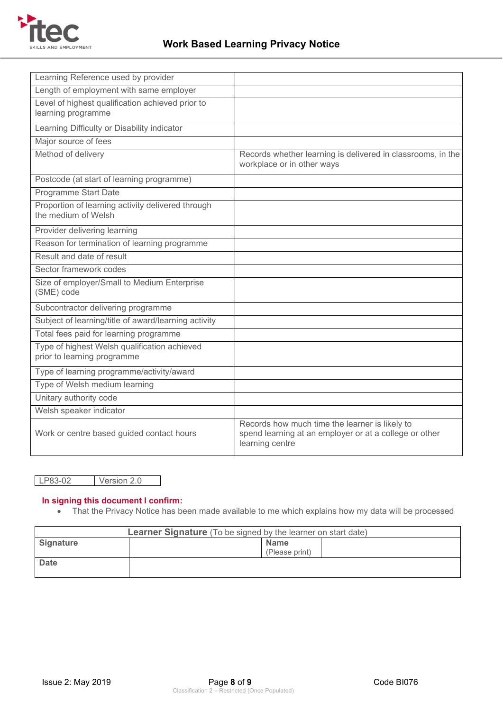

| Learning Reference used by provider                                         |                                                                                                                             |  |
|-----------------------------------------------------------------------------|-----------------------------------------------------------------------------------------------------------------------------|--|
| Length of employment with same employer                                     |                                                                                                                             |  |
| Level of highest qualification achieved prior to<br>learning programme      |                                                                                                                             |  |
| Learning Difficulty or Disability indicator                                 |                                                                                                                             |  |
| Major source of fees                                                        |                                                                                                                             |  |
| Method of delivery                                                          | Records whether learning is delivered in classrooms, in the<br>workplace or in other ways                                   |  |
| Postcode (at start of learning programme)                                   |                                                                                                                             |  |
| Programme Start Date                                                        |                                                                                                                             |  |
| Proportion of learning activity delivered through<br>the medium of Welsh    |                                                                                                                             |  |
| Provider delivering learning                                                |                                                                                                                             |  |
| Reason for termination of learning programme                                |                                                                                                                             |  |
| Result and date of result                                                   |                                                                                                                             |  |
| Sector framework codes                                                      |                                                                                                                             |  |
| Size of employer/Small to Medium Enterprise<br>(SME) code                   |                                                                                                                             |  |
| Subcontractor delivering programme                                          |                                                                                                                             |  |
| Subject of learning/title of award/learning activity                        |                                                                                                                             |  |
| Total fees paid for learning programme                                      |                                                                                                                             |  |
| Type of highest Welsh qualification achieved<br>prior to learning programme |                                                                                                                             |  |
| Type of learning programme/activity/award                                   |                                                                                                                             |  |
| Type of Welsh medium learning                                               |                                                                                                                             |  |
| Unitary authority code                                                      |                                                                                                                             |  |
| Welsh speaker indicator                                                     |                                                                                                                             |  |
| Work or centre based guided contact hours                                   | Records how much time the learner is likely to<br>spend learning at an employer or at a college or other<br>learning centre |  |

LP83-02 Version 2.0

## **In signing this document I confirm:**

• That the Privacy Notice has been made available to me which explains how my data will be processed

| <b>Learner Signature</b> (To be signed by the learner on start date) |  |                               |  |  |
|----------------------------------------------------------------------|--|-------------------------------|--|--|
| Signature                                                            |  | <b>Name</b><br>(Please print) |  |  |
| <b>Date</b>                                                          |  |                               |  |  |